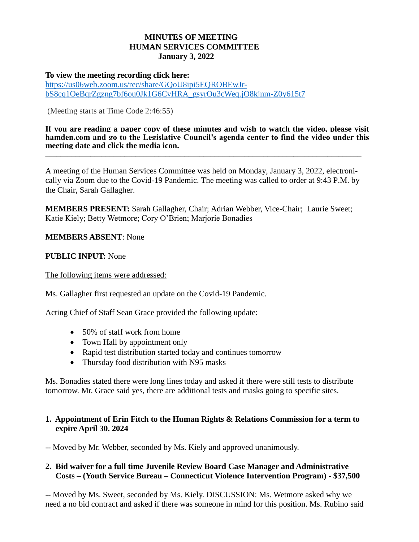## **MINUTES OF MEETING HUMAN SERVICES COMMITTEE January 3, 2022**

#### **To view the meeting recording click here:**

[https://us06web.zoom.us/rec/share/GQoU8ipi5EQROBEwJr](https://us06web.zoom.us/rec/share/GQoU8ipi5EQROBEwJr-bS8cq1OeBqrZgzng7bf6ou0Jk1G6CvHRA_gsyrOu3cWeq.jO8kjnm-Z0y615t7)[bS8cq1OeBqrZgzng7bf6ou0Jk1G6CvHRA\\_gsyrOu3cWeq.jO8kjnm-Z0y615t7](https://us06web.zoom.us/rec/share/GQoU8ipi5EQROBEwJr-bS8cq1OeBqrZgzng7bf6ou0Jk1G6CvHRA_gsyrOu3cWeq.jO8kjnm-Z0y615t7)

(Meeting starts at Time Code 2:46:55)

#### **If you are reading a paper copy of these minutes and wish to watch the video, please visit hamden.com and go to the Legislative Council's agenda center to find the video under this meeting date and click the media icon. \_\_\_\_\_\_\_\_\_\_\_\_\_\_\_\_\_\_\_\_\_\_\_\_\_\_\_\_\_\_\_\_\_\_\_\_\_\_\_\_\_\_\_\_\_\_\_\_\_\_\_\_\_\_\_\_\_\_\_\_\_\_\_\_\_\_\_\_\_\_\_\_\_\_\_\_\_\_\_\_\_\_\_\_**

A meeting of the Human Services Committee was held on Monday, January 3, 2022, electronically via Zoom due to the Covid-19 Pandemic. The meeting was called to order at 9:43 P.M. by the Chair, Sarah Gallagher.

**MEMBERS PRESENT:** Sarah Gallagher, Chair; Adrian Webber, Vice-Chair; Laurie Sweet; Katie Kiely; Betty Wetmore; Cory O'Brien; Marjorie Bonadies

**MEMBERS ABSENT**: None

## **PUBLIC INPUT:** None

The following items were addressed:

Ms. Gallagher first requested an update on the Covid-19 Pandemic.

Acting Chief of Staff Sean Grace provided the following update:

- 50% of staff work from home
- Town Hall by appointment only
- Rapid test distribution started today and continues tomorrow
- Thursday food distribution with N95 masks

Ms. Bonadies stated there were long lines today and asked if there were still tests to distribute tomorrow. Mr. Grace said yes, there are additional tests and masks going to specific sites.

## **1. Appointment of Erin Fitch to the Human Rights & Relations Commission for a term to expire April 30. 2024**

-- Moved by Mr. Webber, seconded by Ms. Kiely and approved unanimously.

## **2. Bid waiver for a full time Juvenile Review Board Case Manager and Administrative Costs – (Youth Service Bureau – Connecticut Violence Intervention Program) - \$37,500**

-- Moved by Ms. Sweet, seconded by Ms. Kiely. DISCUSSION: Ms. Wetmore asked why we need a no bid contract and asked if there was someone in mind for this position. Ms. Rubino said